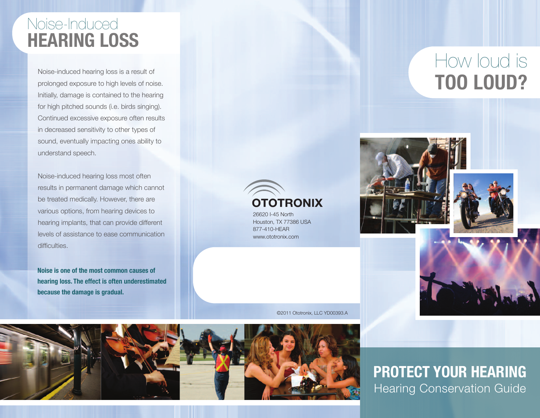### Noise-Induced **HEARING LOSS**

Noise-induced hearing loss is a result of prolonged exposure to high levels of noise. Initially, damage is contained to the hearing for high pitched sounds (i.e. birds singing). Continued excessive exposure often results in decreased sensitivity to other types of sound, eventually impacting ones ability to understand speech.

Noise-induced hearing loss most often results in permanent damage which cannot be treated medically. However, there are various options, from hearing devices to hearing implants, that can provide different levels of assistance to ease communication difficulties.

**Noise is one of the most common causes of hearing loss. The effect is often underestimated because the damage is gradual.**

# How loud is **TOO LOud?**







©2011 Ototronix, LLC YD00393.A

26620 I-45 North Houston, TX 77386 USA 877-410-HEAR www.ototronix.com

**OTOTRONIX** 



**PROTECT YOuR HEARING** Hearing Conservation Guide